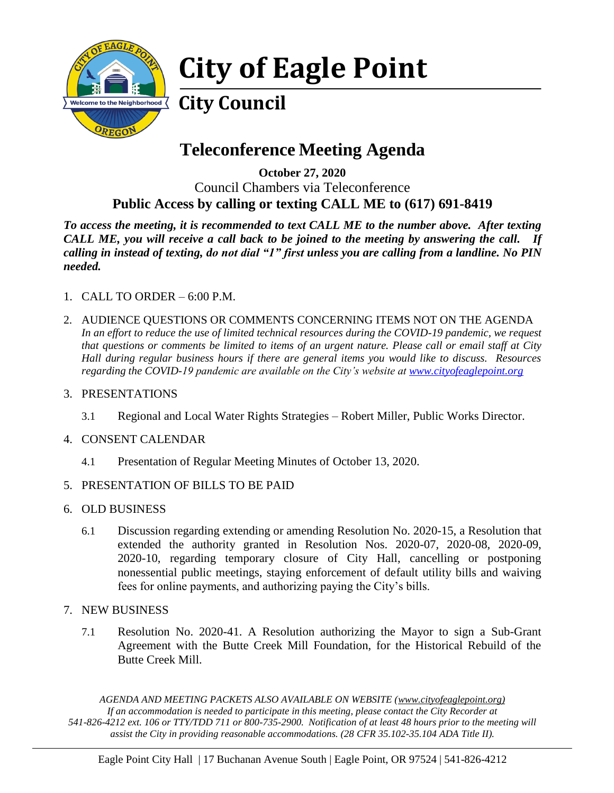

# **City of Eagle Point**

## **City Council**

## **Teleconference Meeting Agenda**

**October 27, 2020** Council Chambers via Teleconference **Public Access by calling or texting CALL ME to (617) 691-8419**

*To access the meeting, it is recommended to text CALL ME to the number above. After texting CALL ME, you will receive a call back to be joined to the meeting by answering the call. If calling in instead of texting, do not dial "1" first unless you are calling from a landline. No PIN needed.* 

- 1. CALL TO ORDER 6:00 P.M.
- 2. AUDIENCE QUESTIONS OR COMMENTS CONCERNING ITEMS NOT ON THE AGENDA In an effort to reduce the use of limited technical resources during the COVID-19 pandemic, we request *that questions or comments be limited to items of an urgent nature. Please call or email staff at City Hall during regular business hours if there are general items you would like to discuss. Resources regarding the COVID-19 pandemic are available on the City's website at [www.cityofeaglepoint.org](http://www.cityofeaglepoint.org/)*
- 3. PRESENTATIONS
	- 3.1 Regional and Local Water Rights Strategies Robert Miller, Public Works Director.
- 4. CONSENT CALENDAR
	- 4.1 Presentation of Regular Meeting Minutes of October 13, 2020.
- 5. PRESENTATION OF BILLS TO BE PAID
- 6. OLD BUSINESS
	- 6.1 Discussion regarding extending or amending Resolution No. 2020-15, a Resolution that extended the authority granted in Resolution Nos. 2020-07, 2020-08, 2020-09, 2020-10, regarding temporary closure of City Hall, cancelling or postponing nonessential public meetings, staying enforcement of default utility bills and waiving fees for online payments, and authorizing paying the City's bills.
- 7. NEW BUSINESS
	- 7.1 Resolution No. 2020-41. A Resolution authorizing the Mayor to sign a Sub-Grant Agreement with the Butte Creek Mill Foundation, for the Historical Rebuild of the Butte Creek Mill.

*AGENDA AND MEETING PACKETS ALSO AVAILABLE ON WEBSITE (www.cityofeaglepoint.org) If an accommodation is needed to participate in this meeting, please contact the City Recorder at 541-826-4212 ext. 106 or TTY/TDD 711 or 800-735-2900. Notification of at least 48 hours prior to the meeting will assist the City in providing reasonable accommodations. (28 CFR 35.102-35.104 ADA Title II).*